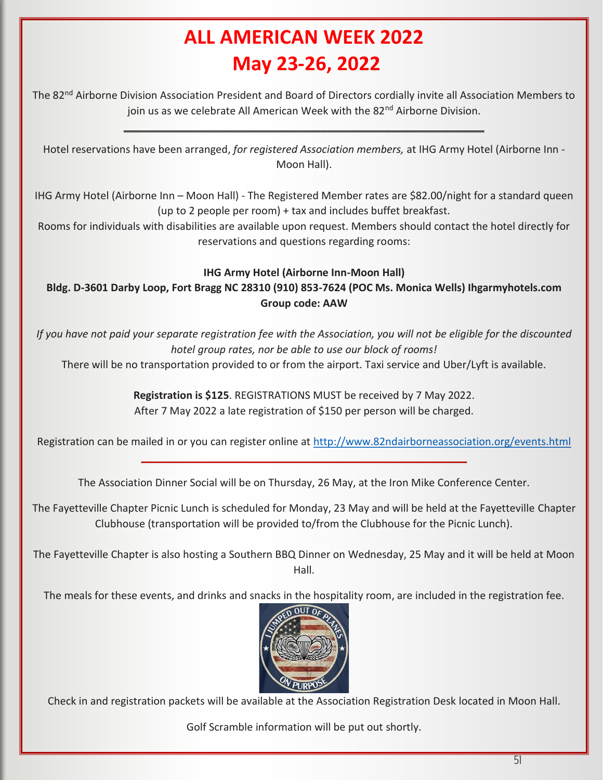# **ALL AMERICAN WEEK 2022 May 23-26, 2022**

The 82nd Airborne Division Association President and Board of Directors cordially invite all Association Members to join us as we celebrate All American Week with the 82<sup>nd</sup> Airborne Division.

\_\_\_\_\_\_\_\_\_\_\_\_\_\_\_\_\_\_\_\_\_\_\_\_\_\_\_\_\_\_\_\_\_\_\_\_\_\_\_\_\_\_\_\_\_\_\_\_\_\_\_\_\_\_\_\_\_\_\_\_\_\_

Hotel reservations have been arranged, *for registered Association members,* at IHG Army Hotel (Airborne Inn - Moon Hall).

IHG Army Hotel (Airborne Inn – Moon Hall) - The Registered Member rates are \$82.00/night for a standard queen (up to 2 people per room) + tax and includes buffet breakfast.

Rooms for individuals with disabilities are available upon request. Members should contact the hotel directly for reservations and questions regarding rooms:

### **IHG Army Hotel (Airborne Inn-Moon Hall)**

**Bldg. D-3601 Darby Loop, Fort Bragg NC 28310 (910) 853-7624 (POC Ms. Monica Wells) Ihgarmyhotels.com Group code: AAW** 

*If you have not paid your separate registration fee with the Association, you will not be eligible for the discounted hotel group rates, nor be able to use our block of rooms!*

There will be no transportation provided to or from the airport. Taxi service and Uber/Lyft is available.

**Registration is \$125**. REGISTRATIONS MUST be received by 7 May 2022. After 7 May 2022 a late registration of \$150 per person will be charged.

Registration can be mailed in or you can register online at http://www.82ndairborneassociation.org/events.html \_\_\_\_\_\_\_\_\_\_\_\_\_\_\_\_\_\_\_\_\_\_\_\_\_\_\_\_\_\_\_\_\_\_\_\_\_\_\_\_\_\_\_\_\_\_\_\_\_\_\_\_\_\_\_\_

The Association Dinner Social will be on Thursday, 26 May, at the Iron Mike Conference Center.

The Fayetteville Chapter Picnic Lunch is scheduled for Monday, 23 May and will be held at the Fayetteville Chapter Clubhouse (transportation will be provided to/from the Clubhouse for the Picnic Lunch).

The Fayetteville Chapter is also hosting a Southern BBQ Dinner on Wednesday, 25 May and it will be held at Moon Hall.

The meals for these events, and drinks and snacks in the hospitality room, are included in the registration fee.



Check in and registration packets will be available at the Association Registration Desk located in Moon Hall.

Golf Scramble information will be put out shortly.